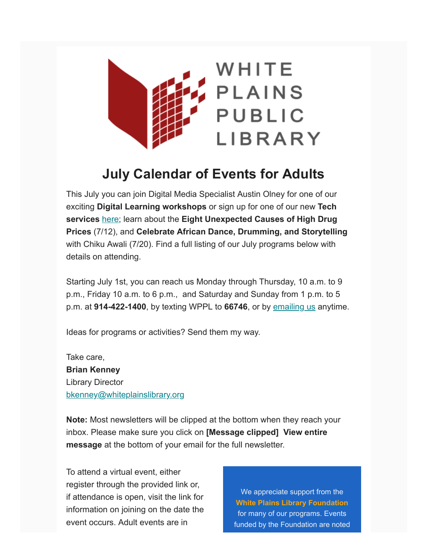

## **July Calendar of Events for Adults**

This July you can join Digital Media Specialist Austin Olney for one of our exciting **Digital Learning workshops** or sign up for one of our new **Tech services** [here;](https://whiteplainslibrary.org/2022/06/new-tech-services/) learn about the **Eight Unexpected Causes of High Drug Prices** (7/12), and **Celebrate African Dance, Drumming, and Storytelling** with Chiku Awali (7/20). Find a full listing of our July programs below with details on attending.

Starting July 1st, you can reach us Monday through Thursday, 10 a.m. to 9 p.m., Friday 10 a.m. to 6 p.m., and Saturday and Sunday from 1 p.m. to 5 p.m. at **914-422-1400**, by texting WPPL to **66746**, or by [emailing us](mailto:librarian@whiteplainslibrary.org?subject=Virtual%20Calendar) anytime.

Ideas for programs or activities? Send them my way.

Take care, **Brian Kenney** Library Director [bkenney@whiteplainslibrary.org](mailto:bkenney@whiteplainslibrary.org?subject=May%20Virtual%20Calendar)

**Note:** Most newsletters will be clipped at the bottom when they reach your inbox. Please make sure you click on **[Message clipped] View entire message** at the bottom of your email for the full newsletter.

To attend a virtual event, either register through the provided link or, if attendance is open, visit the link for information on joining on the date the event occurs. Adult events are in

We appreciate support from the **[White Plains Library Foundation](https://whiteplainslibrary.org/foundation)** for many of our programs. Events funded by the Foundation are noted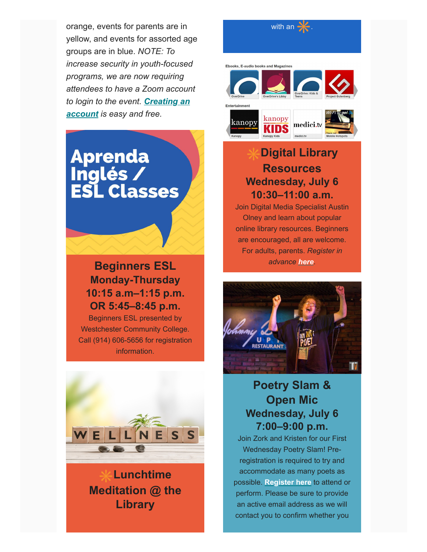orange, events for parents are in yellow, and events for assorted age groups are in blue. *NOTE: To increase security in youth-focused programs, we are now requiring attendees to have a Zoom account [to login to the event.](http://zoom.us/signup) Creating an account is easy and free.*

# **Aprenda** Inglés /<br>ESL Classes

## **Beginners ESL Monday-Thursday 10:15 a.m–1:15 p.m. OR 5:45–8:45 p.m.**

Beginners ESL presented by Westchester Community College. Call (914) 606-5656 for registration information.



**Lunchtime Meditation @ the Library**

#### with an  $\cdot$

Ebooks, E-audio books and Magazin





## **Digital Library Resources Wednesday, July 6 10:30–11:00 a.m.**

Join Digital Media Specialist Austin Olney and learn about popular online library resources. Beginners are encouraged, all are welcome. For adults, parents. *Register in advance [here](https://whiteplainslibrary.evanced.info/eventsignup.asp?ID=81963).*



## **Poetry Slam & Open Mic Wednesday, July 6 7:00–9:00 p.m.**

Join Zork and Kristen for our First Wednesday Poetry Slam! Preregistration is required to try and accommodate as many poets as possible. **[Register here](https://whiteplainslibrary.evanced.info/eventsignup.asp?ID=81879)** to attend or perform. Please be sure to provide an active email address as we will contact you to confirm whether you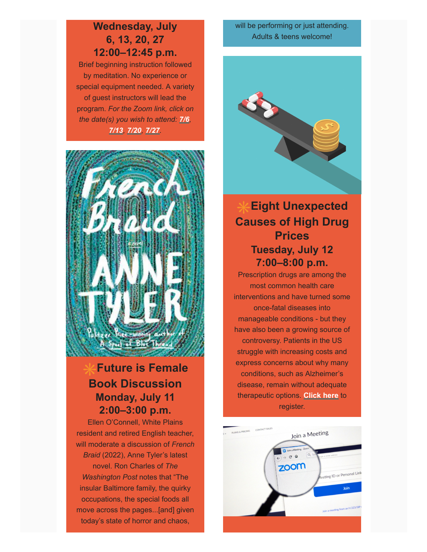### **Wednesday, July 6, 13, 20, 27 12:00–12:45 p.m.**

Brief beginning instruction followed by meditation. No experience or special equipment needed. A variety of guest instructors will lead the program. *For the Zoom link, click on the date(s) you wish to attend: [7/6](https://whiteplainslibrary.evanced.info/eventsignup.asp?ID=81251), [7/13](https://whiteplainslibrary.evanced.info/eventsignup.asp?ID=81252), [7/20](https://whiteplainslibrary.evanced.info/eventsignup.asp?ID=81253), [7/27](https://whiteplainslibrary.evanced.info/eventsignup.asp?ID=81254).*



## **Future is Female Book Discussion Monday, July 11 2:00–3:00 p.m.**

Ellen O'Connell, White Plains resident and retired English teacher, will moderate a discussion of *French Braid* (2022), Anne Tyler's latest novel. Ron Charles of *The Washington Post* notes that "The insular Baltimore family, the quirky occupations, the special foods all move across the pages...[and] given today's state of horror and chaos,

will be performing or just attending. Adults & teens welcome!



## **Eight Unexpected Causes of High Drug Prices Tuesday, July 12 7:00–8:00 p.m.**

Prescription drugs are among the most common health care interventions and have turned some once-fatal diseases into manageable conditions - but they have also been a growing source of controversy. Patients in the US struggle with increasing costs and express concerns about why many conditions, such as Alzheimer's disease, remain without adequate therapeutic options. **[Click here](https://us02web.zoom.us/webinar/register/WN_ee00f6iqRsmYWmEkS8BY0g)** to register.

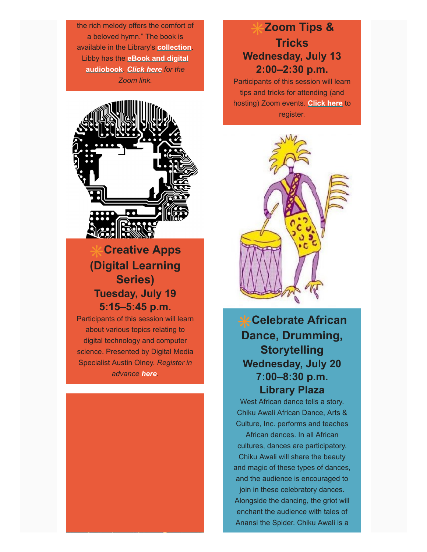the rich melody offers the comfort of a beloved hymn." The book is available in the Library's **[collection](https://catalog.westchesterlibraries.org/eg/opac/results?query=french+braid+tyler&qtype=keyword&fi%3Asearch_format=&locg=193&sort=&detail_record_view=0)**. Libby has the **[eBook and digital](https://libbyapp.com/search/westchester/search/query-french%20braid/page-1) audiobook**. *[Click here](https://whiteplainslibrary.evanced.info/eventsignup.asp?ID=82014) for the Zoom link.*



## **Creative Apps (Digital Learning Series) Tuesday, July 19 5:15–5:45 p.m.**

Participants of this session will learn about various topics relating to digital technology and computer science. Presented by Digital Media Specialist Austin Olney. *Register in advance [here](https://whiteplainslibrary.evanced.info/eventsignup.asp?ID=81971).*



Participants of this session will learn tips and tricks for attending (and hosting) Zoom events. **[Click here](https://whiteplainslibrary.evanced.info/eventsignup.asp?ID=81935)** to register.



## **Celebrate African Dance, Drumming, Storytelling Wednesday, July 20 7:00–8:30 p.m. Library Plaza**

West African dance tells a story. Chiku Awali African Dance, Arts & Culture, Inc. performs and teaches

African dances. In all African cultures, dances are participatory. Chiku Awali will share the beauty and magic of these types of dances, and the audience is encouraged to join in these celebratory dances. Alongside the dancing, the griot will

enchant the audience with tales of Anansi the Spider. Chiku Awali is a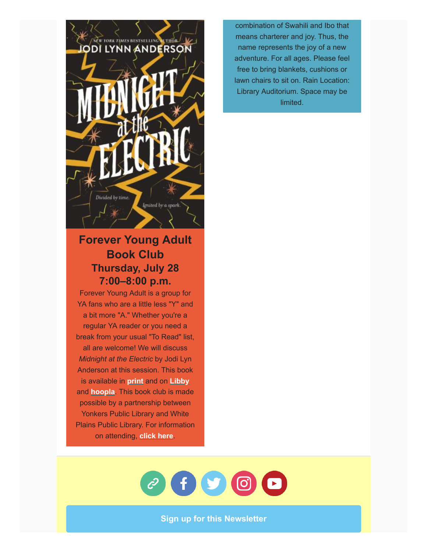

## **Forever Young Adult Book Club Thursday, July 28 7:00–8:00 p.m.**

Forever Young Adult is a group for YA fans who are a little less "Y" and a bit more "A." Whether you're a regular YA reader or you need a break from your usual "To Read" list, all are welcome! We will discuss *Midnight at the Electric* by Jodi Lyn Anderson at this session. This book is available in **[print](https://catalog.westchesterlibraries.org/eg/opac/record/5235238)** and on **[Libby](https://libbyapp.com/search/westchester/search/query-midnight%20at%20the%20electric/page-1)** and **[hoopla](https://www.hoopladigital.com/search?title=midnight+at+the+electric&artistName=jodi+lynn+anderson&page=1)**. This book club is made possible by a partnership between Yonkers Public Library and White Plains Public Library. For information on attending, **[click here](https://whiteplainslibrary.evanced.info/eventsignup.asp?ID=81721)**.

combination of Swahili and Ibo that means charterer and joy. Thus, the name represents the joy of a new adventure. For all ages. Please feel free to bring blankets, cushions or lawn chairs to sit on. Rain Location: Library Auditorium. Space may be limited.



**[Sign up for this Newsletter](http://whiteplainslibrary.org/newsletter/)**